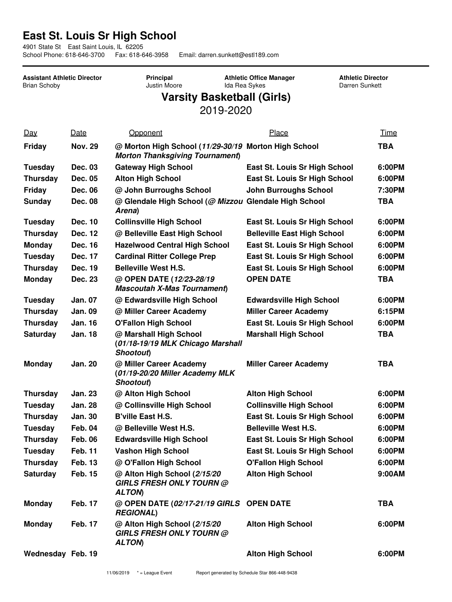## **East St. Louis Sr High School**

4901 State St East Saint Louis, IL 62205

School Phone: 618-646-3700 Fax: 618-646-3958 Email: darren.sunkett@estl189.com

**Assistant Athletic Director** Brian Schoby **Principal** Justin Moore **Athletic Office Manager** Ida Rea Sykes **Athletic Director** Darren Sunkett **Varsity Basketball (Girls)** 2019-2020 Day Date Opponent Place Time **Friday Nov. 29 @ Morton High School (***11/29-30/19* **Morton High School TBA** *Morton Thanksgiving Tournament***) Tuesday Dec. 03 Gateway High School East St. Louis Sr High School 6:00PM Thursday Dec. 05 Alton High School East St. Louis Sr High School 6:00PM Friday Dec. 06 @ John Burroughs School John Burroughs School 7:30PM Sunday Dec. 08 @ Glendale High School (***@ Mizzou* **Glendale High School TBA** *Arena***) Tuesday Dec. 10 Collinsville High School East St. Louis Sr High School 6:00PM Thursday Dec. 12 @ Belleville East High School Belleville East High School 6:00PM Monday Dec. 16 Hazelwood Central High School East St. Louis Sr High School 6:00PM Tuesday Dec. 17 Cardinal Ritter College Prep East St. Louis Sr High School 6:00PM Thursday Dec. 19 Belleville West H.S. East St. Louis Sr High School 6:00PM Monday Dec. 23 @ OPEN DATE (***12/23-28/19 Mascoutah X-Mas Tournament***) OPEN DATE TBA Tuesday Jan. 07 @ Edwardsville High School Edwardsville High School 6:00PM Thursday Jan. 09 @ Miller Career Academy Miller Career Academy 6:15PM Thursday Jan. 16 O'Fallon High School East St. Louis Sr High School 6:00PM Saturday Jan. 18 @ Marshall High School (***01/18-19/19 MLK Chicago Marshall Shootout***) Marshall High School TBA Monday Jan. 20 @ Miller Career Academy (***01/19-20/20 Miller Academy MLK Shootout***) Miller Career Academy TBA Thursday Jan. 23 @ Alton High School Alton High School 6:00PM Tuesday Jan. 28 @ Collinsville High School Collinsville High School 6:00PM Thursday Jan. 30 B'ville East H.S. East St. Louis Sr High School 6:00PM Tuesday Feb. 04 @ Belleville West H.S. Belleville West H.S. 6:00PM Thursday Feb. 06 Edwardsville High School East St. Louis Sr High School 6:00PM Tuesday Feb. 11 Vashon High School East St. Louis Sr High School 6:00PM Thursday Feb. 13 @ O'Fallon High School O'Fallon High School 6:00PM Saturday Feb. 15 @ Alton High School (***2/15/20 GIRLS FRESH ONLY TOURN @ ALTON***) Alton High School 9:00AM Monday Feb. 17 @ OPEN DATE (***02/17-21/19 GIRLS REGIONAL***) OPEN DATE TBA Monday Feb. 17 @ Alton High School (***2/15/20 GIRLS FRESH ONLY TOURN @ ALTON***) Alton High School 6:00PM Wednesday Feb. 19 Alton High School 6:00PM**